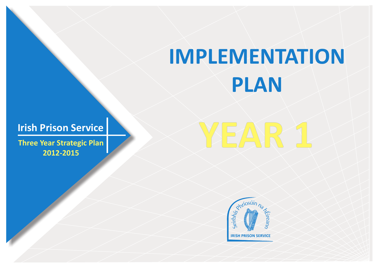## **IMPLEMENTATION PLAN**

## **Irish Prison Service**

**Three Year Strategic Plan 2012-2015**



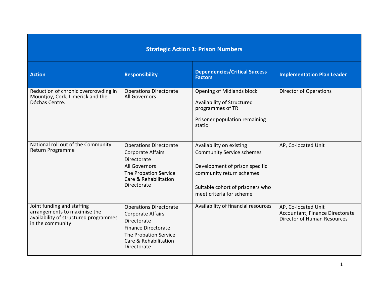## **Strategic Action 1: Prison Numbers**

| <b>Action</b>                                                                                                           | <b>Responsibility</b>                                                                                                                                                   | <b>Dependencies/Critical Success</b><br><b>Factors</b>                                                                                                                                     | <b>Implementation Plan Leader</b>                                                            |
|-------------------------------------------------------------------------------------------------------------------------|-------------------------------------------------------------------------------------------------------------------------------------------------------------------------|--------------------------------------------------------------------------------------------------------------------------------------------------------------------------------------------|----------------------------------------------------------------------------------------------|
| Reduction of chronic overcrowding in<br>Mountjoy, Cork, Limerick and the<br>Dóchas Centre.                              | <b>Operations Directorate</b><br>All Governors                                                                                                                          | Opening of Midlands block<br>Availability of Structured<br>programmes of TR<br>Prisoner population remaining<br>static                                                                     | <b>Director of Operations</b>                                                                |
| National roll out of the Community<br>Return Programme                                                                  | <b>Operations Directorate</b><br><b>Corporate Affairs</b><br>Directorate<br><b>All Governors</b><br>The Probation Service<br>Care & Rehabilitation<br>Directorate       | Availability on existing<br><b>Community Service schemes</b><br>Development of prison specific<br>community return schemes<br>Suitable cohort of prisoners who<br>meet criteria for scheme | AP, Co-located Unit                                                                          |
| Joint funding and staffing<br>arrangements to maximise the<br>availability of structured programmes<br>in the community | <b>Operations Directorate</b><br><b>Corporate Affairs</b><br>Directorate<br><b>Finance Directorate</b><br>The Probation Service<br>Care & Rehabilitation<br>Directorate | Availability of financial resources                                                                                                                                                        | AP, Co-located Unit<br>Accountant, Finance Directorate<br><b>Director of Human Resources</b> |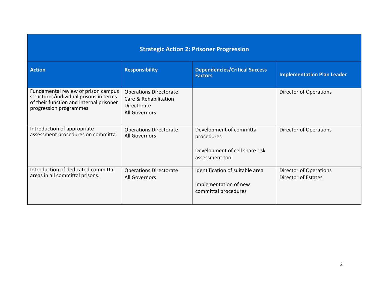| <b>Strategic Action 2: Prisoner Progression</b>                                                                                                    |                                                                                        |                                                                                             |                                               |  |
|----------------------------------------------------------------------------------------------------------------------------------------------------|----------------------------------------------------------------------------------------|---------------------------------------------------------------------------------------------|-----------------------------------------------|--|
| <b>Action</b>                                                                                                                                      | <b>Responsibility</b>                                                                  | <b>Dependencies/Critical Success</b><br><b>Factors</b>                                      | <b>Implementation Plan Leader</b>             |  |
| Fundamental review of prison campus<br>structures/individual prisons in terms<br>of their function and internal prisoner<br>progression programmes | <b>Operations Directorate</b><br>Care & Rehabilitation<br>Directorate<br>All Governors |                                                                                             | <b>Director of Operations</b>                 |  |
| Introduction of appropriate<br>assessment procedures on committal                                                                                  | <b>Operations Directorate</b><br>All Governors                                         | Development of committal<br>procedures<br>Development of cell share risk<br>assessment tool | Director of Operations                        |  |
| Introduction of dedicated committal<br>areas in all committal prisons.                                                                             | <b>Operations Directorate</b><br>All Governors                                         | Identification of suitable area<br>Implementation of new<br>committal procedures            | Director of Operations<br>Director of Estates |  |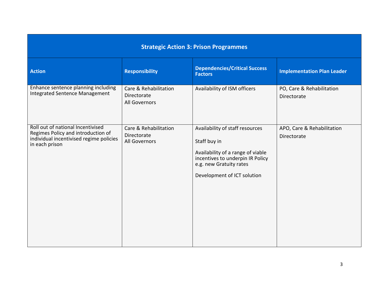| <b>Strategic Action 3: Prison Programmes</b>                                                                                         |                                                              |                                                                                                                                                                                    |                                           |  |
|--------------------------------------------------------------------------------------------------------------------------------------|--------------------------------------------------------------|------------------------------------------------------------------------------------------------------------------------------------------------------------------------------------|-------------------------------------------|--|
| <b>Action</b>                                                                                                                        | <b>Responsibility</b>                                        | <b>Dependencies/Critical Success</b><br><b>Factors</b>                                                                                                                             | <b>Implementation Plan Leader</b>         |  |
| Enhance sentence planning including<br>Integrated Sentence Management                                                                | Care & Rehabilitation<br><b>Directorate</b><br>All Governors | Availability of ISM officers                                                                                                                                                       | PO, Care & Rehabilitation<br>Directorate  |  |
| Roll out of national Incentivised<br>Regimes Policy and introduction of<br>individual incentivised regime policies<br>in each prison | Care & Rehabilitation<br><b>Directorate</b><br>All Governors | Availability of staff resources<br>Staff buy in<br>Availability of a range of viable<br>incentives to underpin IR Policy<br>e.g. new Gratuity rates<br>Development of ICT solution | APO, Care & Rehabilitation<br>Directorate |  |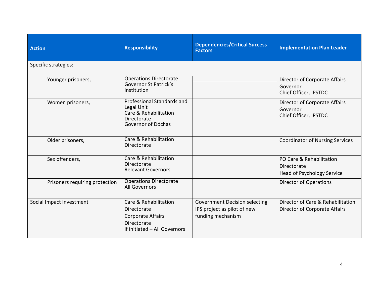| <b>Action</b>                  | <b>Responsibility</b>                                                                                           | <b>Dependencies/Critical Success</b><br><b>Factors</b>                                   | <b>Implementation Plan Leader</b>                                            |
|--------------------------------|-----------------------------------------------------------------------------------------------------------------|------------------------------------------------------------------------------------------|------------------------------------------------------------------------------|
| Specific strategies:           |                                                                                                                 |                                                                                          |                                                                              |
| Younger prisoners,             | <b>Operations Directorate</b><br>Governor St Patrick's<br>Institution                                           |                                                                                          | Director of Corporate Affairs<br>Governor<br>Chief Officer, IPSTDC           |
| Women prisoners,               | Professional Standards and<br>Legal Unit<br>Care & Rehabilitation<br><b>Directorate</b><br>Governor of Dóchas   |                                                                                          | Director of Corporate Affairs<br>Governor<br>Chief Officer, IPSTDC           |
| Older prisoners,               | Care & Rehabilitation<br>Directorate                                                                            |                                                                                          | <b>Coordinator of Nursing Services</b>                                       |
| Sex offenders,                 | Care & Rehabilitation<br>Directorate<br><b>Relevant Governors</b>                                               |                                                                                          | PO Care & Rehabilitation<br>Directorate<br><b>Head of Psychology Service</b> |
| Prisoners requiring protection | <b>Operations Directorate</b><br><b>All Governors</b>                                                           |                                                                                          | <b>Director of Operations</b>                                                |
| Social Impact Investment       | Care & Rehabilitation<br>Directorate<br><b>Corporate Affairs</b><br>Directorate<br>If initiated - All Governors | <b>Government Decision selecting</b><br>IPS project as pilot of new<br>funding mechanism | Director of Care & Rehabilitation<br>Director of Corporate Affairs           |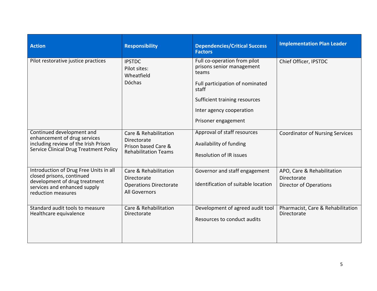| <b>Action</b>                                                                                                                                              | <b>Responsibility</b>                                                                         | <b>Dependencies/Critical Success</b><br><b>Factors</b>                                                                                                                                             | <b>Implementation Plan Leader</b>                                          |
|------------------------------------------------------------------------------------------------------------------------------------------------------------|-----------------------------------------------------------------------------------------------|----------------------------------------------------------------------------------------------------------------------------------------------------------------------------------------------------|----------------------------------------------------------------------------|
| Pilot restorative justice practices                                                                                                                        | <b>IPSTDC</b><br>Pilot sites:<br>Wheatfield<br>Dóchas                                         | Full co-operation from pilot<br>prisons senior management<br>teams<br>Full participation of nominated<br>staff<br>Sufficient training resources<br>Inter agency cooperation<br>Prisoner engagement | Chief Officer, IPSTDC                                                      |
| Continued development and<br>enhancement of drug services<br>including review of the Irish Prison<br>Service Clinical Drug Treatment Policy                | Care & Rehabilitation<br>Directorate<br>Prison based Care &<br><b>Rehabilitation Teams</b>    | Approval of staff resources<br>Availability of funding<br><b>Resolution of IR issues</b>                                                                                                           | <b>Coordinator of Nursing Services</b>                                     |
| Introduction of Drug Free Units in all<br>closed prisons, continued<br>development of drug treatment<br>services and enhanced supply<br>reduction measures | Care & Rehabilitation<br>Directorate<br><b>Operations Directorate</b><br><b>All Governors</b> | Governor and staff engagement<br>Identification of suitable location                                                                                                                               | APO, Care & Rehabilitation<br>Directorate<br><b>Director of Operations</b> |
| Standard audit tools to measure<br>Healthcare equivalence                                                                                                  | Care & Rehabilitation<br><b>Directorate</b>                                                   | Development of agreed audit tool<br>Resources to conduct audits                                                                                                                                    | Pharmacist, Care & Rehabilitation<br>Directorate                           |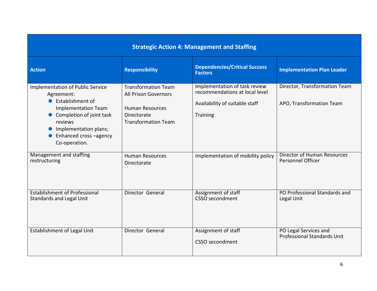| <b>Strategic Action 4: Management and Staffing</b>                                                                                                                                                              |                                                                                                                                  |                                                                                                                      |                                                             |  |
|-----------------------------------------------------------------------------------------------------------------------------------------------------------------------------------------------------------------|----------------------------------------------------------------------------------------------------------------------------------|----------------------------------------------------------------------------------------------------------------------|-------------------------------------------------------------|--|
| <b>Action</b>                                                                                                                                                                                                   | <b>Responsibility</b>                                                                                                            | <b>Dependencies/Critical Success</b><br><b>Factors</b>                                                               | <b>Implementation Plan Leader</b>                           |  |
| Implementation of Public Service<br>Agreement:<br>• Establishment of<br><b>Implementation Team</b><br>• Completion of joint task<br>reviews<br>Implementation plans;<br>Enhanced cross -agency<br>Co-operation. | <b>Transformation Team</b><br><b>All Prison Governors</b><br><b>Human Resources</b><br>Directorate<br><b>Transformation Team</b> | Implementation of task review<br>recommendations at local level<br>Availability of suitable staff<br><b>Training</b> | Director, Transformation Team<br>APO, Transformation Team   |  |
| Management and staffing<br>restructuring                                                                                                                                                                        | <b>Human Resources</b><br>Directorate                                                                                            | Implementation of mobility policy                                                                                    | Director of Human Resources<br><b>Personnel Officer</b>     |  |
| <b>Establishment of Professional</b><br><b>Standards and Legal Unit</b>                                                                                                                                         | Director General                                                                                                                 | Assignment of staff<br>CSSO secondment                                                                               | PO Professional Standards and<br>Legal Unit                 |  |
| Establishment of Legal Unit                                                                                                                                                                                     | Director General                                                                                                                 | Assignment of staff<br>CSSO secondment                                                                               | PO Legal Services and<br><b>Professional Standards Unit</b> |  |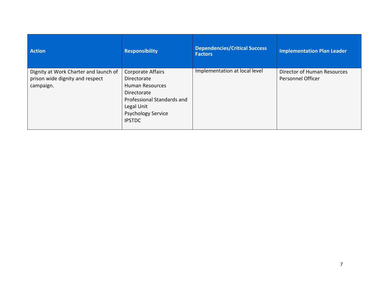| <b>Action</b>                                                                         | <b>Responsibility</b>                                                                                                                                               | <b>Dependencies/Critical Success</b><br><b>Factors</b> | <b>Implementation Plan Leader</b>                       |
|---------------------------------------------------------------------------------------|---------------------------------------------------------------------------------------------------------------------------------------------------------------------|--------------------------------------------------------|---------------------------------------------------------|
| Dignity at Work Charter and launch of<br>prison wide dignity and respect<br>campaign. | Corporate Affairs<br>Directorate<br><b>Human Resources</b><br>Directorate<br>Professional Standards and<br>Legal Unit<br><b>Psychology Service</b><br><b>IPSTDC</b> | Implementation at local level                          | Director of Human Resources<br><b>Personnel Officer</b> |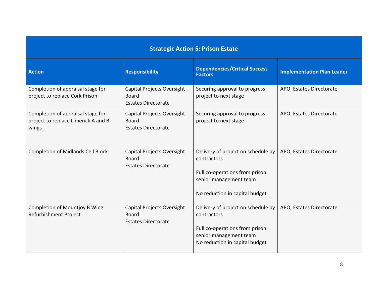| <b>Strategic Action 5: Prison Estate</b>                                          |                                                                          |                                                                                                                                                 |                                   |  |
|-----------------------------------------------------------------------------------|--------------------------------------------------------------------------|-------------------------------------------------------------------------------------------------------------------------------------------------|-----------------------------------|--|
| <b>Action</b>                                                                     | <b>Responsibility</b>                                                    | <b>Dependencies/Critical Success</b><br><b>Factors</b>                                                                                          | <b>Implementation Plan Leader</b> |  |
| Completion of appraisal stage for<br>project to replace Cork Prison               | Capital Projects Oversight<br><b>Board</b><br><b>Estates Directorate</b> | Securing approval to progress<br>project to next stage                                                                                          | APO, Estates Directorate          |  |
| Completion of appraisal stage for<br>project to replace Limerick A and B<br>wings | Capital Projects Oversight<br><b>Board</b><br><b>Estates Directorate</b> | Securing approval to progress<br>project to next stage                                                                                          | APO, Estates Directorate          |  |
| <b>Completion of Midlands Cell Block</b>                                          | Capital Projects Oversight<br><b>Board</b><br><b>Estates Directorate</b> | Delivery of project on schedule by<br>contractors<br>Full co-operations from prison<br>senior management team<br>No reduction in capital budget | APO, Estates Directorate          |  |
| <b>Completion of Mountjoy B Wing</b><br>Refurbishment Project                     | Capital Projects Oversight<br><b>Board</b><br><b>Estates Directorate</b> | Delivery of project on schedule by<br>contractors<br>Full co-operations from prison<br>senior management team<br>No reduction in capital budget | APO, Estates Directorate          |  |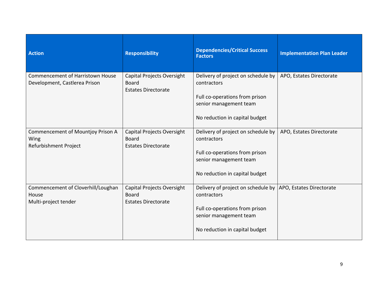| <b>Action</b>                                                            | <b>Responsibility</b>                                                    | <b>Dependencies/Critical Success</b><br><b>Factors</b>                                                                                                                    | <b>Implementation Plan Leader</b> |
|--------------------------------------------------------------------------|--------------------------------------------------------------------------|---------------------------------------------------------------------------------------------------------------------------------------------------------------------------|-----------------------------------|
| <b>Commencement of Harristown House</b><br>Development, Castlerea Prison | Capital Projects Oversight<br><b>Board</b><br><b>Estates Directorate</b> | Delivery of project on schedule by<br>contractors<br>Full co-operations from prison<br>senior management team<br>No reduction in capital budget                           | APO, Estates Directorate          |
| Commencement of Mountjoy Prison A<br>Wing<br>Refurbishment Project       | Capital Projects Oversight<br><b>Board</b><br><b>Estates Directorate</b> | Delivery of project on schedule by<br>contractors<br>Full co-operations from prison<br>senior management team<br>No reduction in capital budget                           | APO, Estates Directorate          |
| Commencement of Cloverhill/Loughan<br>House<br>Multi-project tender      | Capital Projects Oversight<br><b>Board</b><br><b>Estates Directorate</b> | Delivery of project on schedule by  APO, Estates Directorate<br>contractors<br>Full co-operations from prison<br>senior management team<br>No reduction in capital budget |                                   |